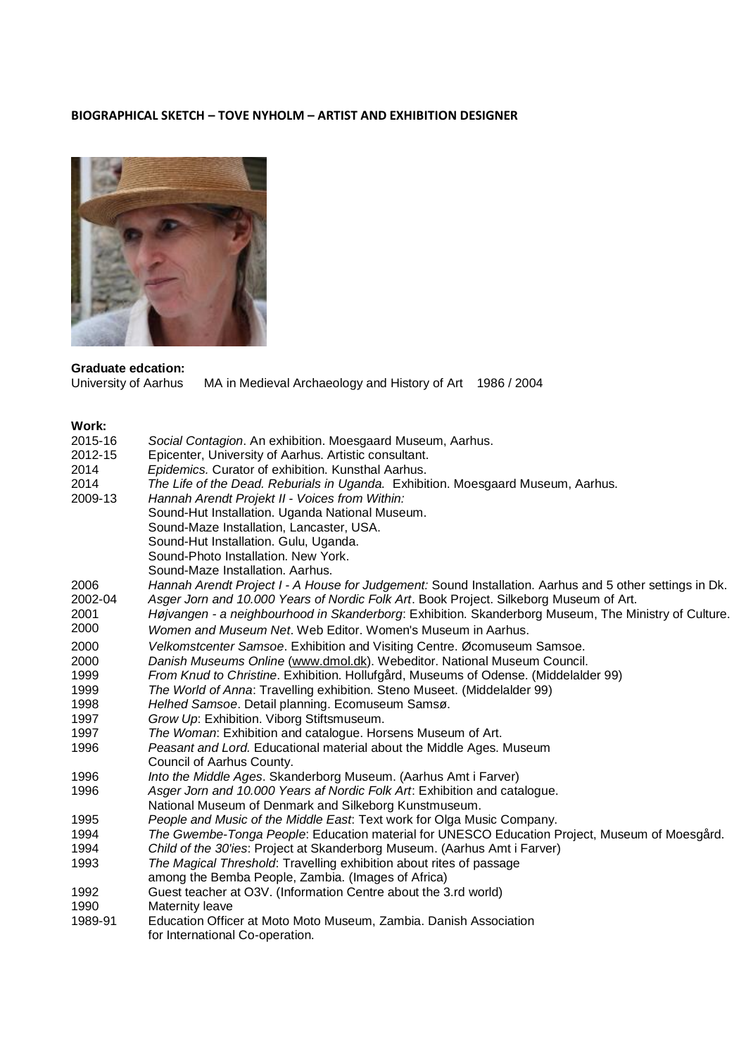## **BIOGRAPHICAL SKETCH – TOVE NYHOLM – ARTIST AND EXHIBITION DESIGNER**



## **Graduate edcation:**

MA in Medieval Archaeology and History of Art 1986 / 2004

## **Work:**

| 2015-16 | Social Contagion. An exhibition. Moesgaard Museum, Aarhus.                                              |
|---------|---------------------------------------------------------------------------------------------------------|
| 2012-15 | Epicenter, University of Aarhus. Artistic consultant.                                                   |
| 2014    | Epidemics. Curator of exhibition. Kunsthal Aarhus.                                                      |
| 2014    | The Life of the Dead. Reburials in Uganda. Exhibition. Moesgaard Museum, Aarhus.                        |
| 2009-13 | Hannah Arendt Projekt II - Voices from Within:                                                          |
|         | Sound-Hut Installation. Uganda National Museum.                                                         |
|         | Sound-Maze Installation, Lancaster, USA.                                                                |
|         | Sound-Hut Installation. Gulu, Uganda.                                                                   |
|         | Sound-Photo Installation. New York.                                                                     |
|         | Sound-Maze Installation, Aarhus.                                                                        |
| 2006    | Hannah Arendt Project I - A House for Judgement: Sound Installation. Aarhus and 5 other settings in Dk. |
| 2002-04 | Asger Jorn and 10.000 Years of Nordic Folk Art. Book Project. Silkeborg Museum of Art.                  |
| 2001    | Højvangen - a neighbourhood in Skanderborg: Exhibition. Skanderborg Museum, The Ministry of Culture.    |
| 2000    | Women and Museum Net. Web Editor. Women's Museum in Aarhus.                                             |
| 2000    | Velkomstcenter Samsoe. Exhibition and Visiting Centre. Øcomuseum Samsoe.                                |
| 2000    | Danish Museums Online (www.dmol.dk). Webeditor. National Museum Council.                                |
| 1999    | From Knud to Christine. Exhibition. Hollufgård, Museums of Odense. (Middelalder 99)                     |
| 1999    | The World of Anna: Travelling exhibition. Steno Museet. (Middelalder 99)                                |
| 1998    | Helhed Samsoe. Detail planning. Ecomuseum Samsø.                                                        |
| 1997    | Grow Up: Exhibition. Viborg Stiftsmuseum.                                                               |
| 1997    | The Woman: Exhibition and catalogue. Horsens Museum of Art.                                             |
| 1996    | Peasant and Lord. Educational material about the Middle Ages. Museum                                    |
|         | Council of Aarhus County.                                                                               |
| 1996    | Into the Middle Ages. Skanderborg Museum. (Aarhus Amt i Farver)                                         |
| 1996    | Asger Jorn and 10.000 Years af Nordic Folk Art: Exhibition and catalogue.                               |
|         | National Museum of Denmark and Silkeborg Kunstmuseum.                                                   |
| 1995    | People and Music of the Middle East: Text work for Olga Music Company.                                  |
| 1994    | The Gwembe-Tonga People: Education material for UNESCO Education Project, Museum of Moesgård.           |
| 1994    | Child of the 30'ies: Project at Skanderborg Museum. (Aarhus Amt i Farver)                               |
| 1993    | The Magical Threshold: Travelling exhibition about rites of passage                                     |
|         | among the Bemba People, Zambia. (Images of Africa)                                                      |
| 1992    | Guest teacher at O3V. (Information Centre about the 3.rd world)                                         |
| 1990    | Maternity leave                                                                                         |
| 1989-91 | Education Officer at Moto Moto Museum, Zambia. Danish Association                                       |
|         | for International Co-operation.                                                                         |